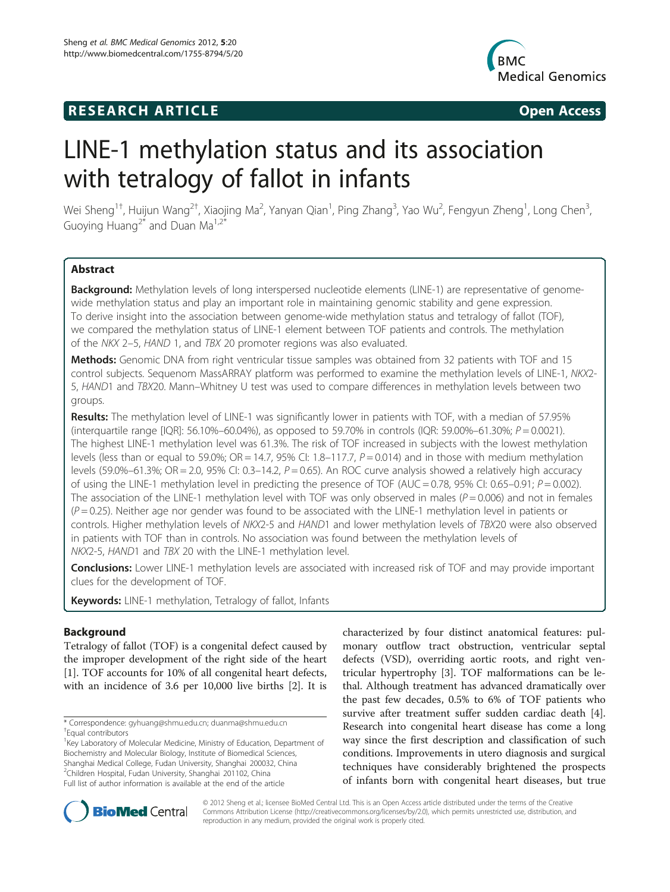# **RESEARCH ARTICLE Example 2008 Open Access**



# LINE-1 methylation status and its association with tetralogy of fallot in infants

Wei Sheng<sup>1†</sup>, Huijun Wang<sup>2†</sup>, Xiaojing Ma<sup>2</sup>, Yanyan Qian<sup>1</sup>, Ping Zhang<sup>3</sup>, Yao Wu<sup>2</sup>, Fengyun Zheng<sup>1</sup>, Long Chen<sup>3</sup> , Guoying Huang<sup>2\*</sup> and Duan Ma<sup>1,2\*</sup>

# Abstract

Background: Methylation levels of long interspersed nucleotide elements (LINE-1) are representative of genomewide methylation status and play an important role in maintaining genomic stability and gene expression. To derive insight into the association between genome-wide methylation status and tetralogy of fallot (TOF), we compared the methylation status of LINE-1 element between TOF patients and controls. The methylation of the NKX 2–5, HAND 1, and TBX 20 promoter regions was also evaluated.

Methods: Genomic DNA from right ventricular tissue samples was obtained from 32 patients with TOF and 15 control subjects. Sequenom MassARRAY platform was performed to examine the methylation levels of LINE-1, NKX2- 5, HAND1 and TBX20. Mann–Whitney U test was used to compare differences in methylation levels between two groups.

Results: The methylation level of LINE-1 was significantly lower in patients with TOF, with a median of 57.95% (interquartile range  $[|QR]$ : 56.10%–60.04%), as opposed to 59.70% in controls ( $|QR$ : 59.00%–61.30%;  $P = 0.0021$ ). The highest LINE-1 methylation level was 61.3%. The risk of TOF increased in subjects with the lowest methylation levels (less than or equal to 59.0%; OR = 14.7, 95% CI: 1.8–117.7,  $P = 0.014$ ) and in those with medium methylation levels (59.0%–61.3%; OR = 2.0, 95% CI: 0.3–14.2,  $P = 0.65$ ). An ROC curve analysis showed a relatively high accuracy of using the LINE-1 methylation level in predicting the presence of TOF (AUC = 0.78, 95% CI: 0.65–0.91;  $P = 0.002$ ). The association of the LINE-1 methylation level with TOF was only observed in males ( $P = 0.006$ ) and not in females  $(P=0.25)$ . Neither age nor gender was found to be associated with the LINE-1 methylation level in patients or controls. Higher methylation levels of NKX2-5 and HAND1 and lower methylation levels of TBX20 were also observed in patients with TOF than in controls. No association was found between the methylation levels of NKX2-5, HAND1 and TBX 20 with the LINE-1 methylation level.

Conclusions: Lower LINE-1 methylation levels are associated with increased risk of TOF and may provide important clues for the development of TOF.

Keywords: LINE-1 methylation, Tetralogy of fallot, Infants

# Background

Tetralogy of fallot (TOF) is a congenital defect caused by the improper development of the right side of the heart [[1\]](#page-8-0). TOF accounts for 10% of all congenital heart defects, with an incidence of 3.6 per 10,000 live births [[2](#page-8-0)]. It is

<sup>1</sup>Key Laboratory of Molecular Medicine, Ministry of Education, Department of Biochemistry and Molecular Biology, Institute of Biomedical Sciences, Shanghai Medical College, Fudan University, Shanghai 200032, China 2 Children Hospital, Fudan University, Shanghai 201102, China Full list of author information is available at the end of the article

characterized by four distinct anatomical features: pulmonary outflow tract obstruction, ventricular septal defects (VSD), overriding aortic roots, and right ventricular hypertrophy [\[3](#page-8-0)]. TOF malformations can be lethal. Although treatment has advanced dramatically over the past few decades, 0.5% to 6% of TOF patients who survive after treatment suffer sudden cardiac death [\[4](#page-8-0)]. Research into congenital heart disease has come a long way since the first description and classification of such conditions. Improvements in utero diagnosis and surgical techniques have considerably brightened the prospects of infants born with congenital heart diseases, but true



© 2012 Sheng et al.; licensee BioMed Central Ltd. This is an Open Access article distributed under the terms of the Creative Commons Attribution License ([http://creativecommons.org/licenses/by/2.0\)](http://creativecommons.org/licenses/by/2.0), which permits unrestricted use, distribution, and reproduction in any medium, provided the original work is properly cited.

<sup>\*</sup> Correspondence: [gyhuang@shmu.edu.cn](mailto:gyhuang@shmu.edu.cn); [duanma@shmu.edu.cn](mailto:duanma@shmu.edu.cn) † Equal contributors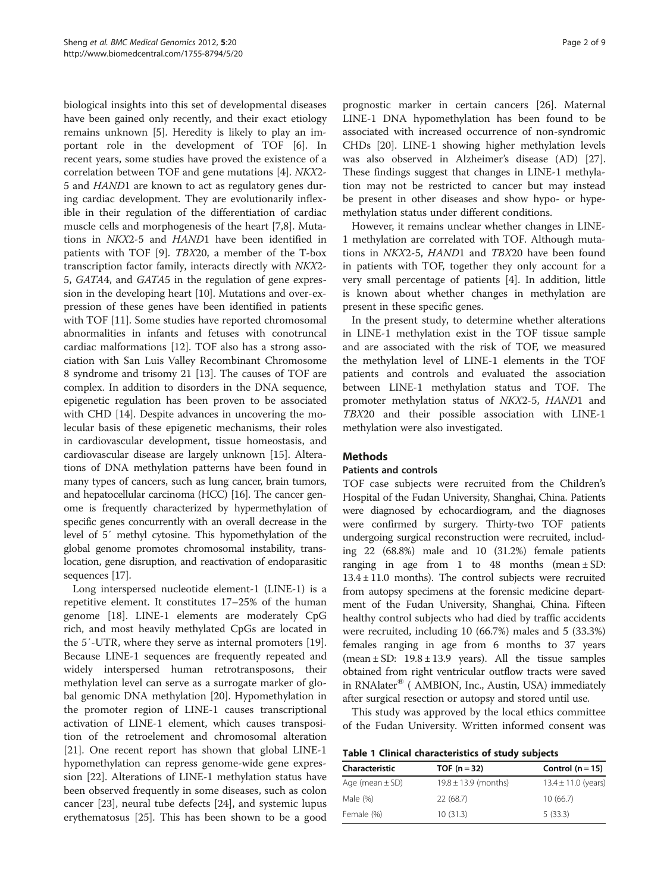<span id="page-1-0"></span>biological insights into this set of developmental diseases have been gained only recently, and their exact etiology remains unknown [[5\]](#page-8-0). Heredity is likely to play an important role in the development of TOF [[6](#page-8-0)]. In recent years, some studies have proved the existence of a correlation between TOF and gene mutations [\[4\]](#page-8-0). NKX2- 5 and HAND1 are known to act as regulatory genes during cardiac development. They are evolutionarily inflexible in their regulation of the differentiation of cardiac muscle cells and morphogenesis of the heart [[7,8\]](#page-8-0). Mutations in NKX2-5 and HAND1 have been identified in patients with TOF [\[9](#page-8-0)]. TBX20, a member of the T-box transcription factor family, interacts directly with NKX2- 5, GATA4, and GATA5 in the regulation of gene expression in the developing heart [\[10](#page-8-0)]. Mutations and over-expression of these genes have been identified in patients with TOF [[11\]](#page-8-0). Some studies have reported chromosomal abnormalities in infants and fetuses with conotruncal cardiac malformations [[12\]](#page-8-0). TOF also has a strong association with San Luis Valley Recombinant Chromosome 8 syndrome and trisomy 21 [\[13\]](#page-8-0). The causes of TOF are complex. In addition to disorders in the DNA sequence, epigenetic regulation has been proven to be associated with CHD [[14](#page-8-0)]. Despite advances in uncovering the molecular basis of these epigenetic mechanisms, their roles in cardiovascular development, tissue homeostasis, and cardiovascular disease are largely unknown [\[15\]](#page-8-0). Alterations of DNA methylation patterns have been found in many types of cancers, such as lung cancer, brain tumors, and hepatocellular carcinoma (HCC) [\[16\]](#page-8-0). The cancer genome is frequently characterized by hypermethylation of specific genes concurrently with an overall decrease in the level of 5′ methyl cytosine. This hypomethylation of the global genome promotes chromosomal instability, translocation, gene disruption, and reactivation of endoparasitic sequences [\[17\]](#page-8-0).

Long interspersed nucleotide element-1 (LINE-1) is a repetitive element. It constitutes 17–25% of the human genome [[18](#page-8-0)]. LINE-1 elements are moderately CpG rich, and most heavily methylated CpGs are located in the 5′-UTR, where they serve as internal promoters [\[19](#page-8-0)]. Because LINE-1 sequences are frequently repeated and widely interspersed human retrotransposons, their methylation level can serve as a surrogate marker of global genomic DNA methylation [\[20\]](#page-8-0). Hypomethylation in the promoter region of LINE-1 causes transcriptional activation of LINE-1 element, which causes transposition of the retroelement and chromosomal alteration [[21\]](#page-8-0). One recent report has shown that global LINE-1 hypomethylation can repress genome-wide gene expression [\[22](#page-8-0)]. Alterations of LINE-1 methylation status have been observed frequently in some diseases, such as colon cancer [[23\]](#page-8-0), neural tube defects [[24](#page-8-0)], and systemic lupus erythematosus [[25\]](#page-8-0). This has been shown to be a good

prognostic marker in certain cancers [[26\]](#page-8-0). Maternal LINE-1 DNA hypomethylation has been found to be associated with increased occurrence of non-syndromic CHDs [[20\]](#page-8-0). LINE-1 showing higher methylation levels was also observed in Alzheimer's disease (AD) [[27](#page-8-0)]. These findings suggest that changes in LINE-1 methylation may not be restricted to cancer but may instead be present in other diseases and show hypo- or hypemethylation status under different conditions.

However, it remains unclear whether changes in LINE-1 methylation are correlated with TOF. Although mutations in NKX2-5, HAND1 and TBX20 have been found in patients with TOF, together they only account for a very small percentage of patients [\[4](#page-8-0)]. In addition, little is known about whether changes in methylation are present in these specific genes.

In the present study, to determine whether alterations in LINE-1 methylation exist in the TOF tissue sample and are associated with the risk of TOF, we measured the methylation level of LINE-1 elements in the TOF patients and controls and evaluated the association between LINE-1 methylation status and TOF. The promoter methylation status of NKX2-5, HAND1 and TBX20 and their possible association with LINE-1 methylation were also investigated.

# Methods

# Patients and controls

TOF case subjects were recruited from the Children's Hospital of the Fudan University, Shanghai, China. Patients were diagnosed by echocardiogram, and the diagnoses were confirmed by surgery. Thirty-two TOF patients undergoing surgical reconstruction were recruited, including 22 (68.8%) male and 10 (31.2%) female patients ranging in age from 1 to 48 months (mean  $\pm$  SD:  $13.4 \pm 11.0$  months). The control subjects were recruited from autopsy specimens at the forensic medicine department of the Fudan University, Shanghai, China. Fifteen healthy control subjects who had died by traffic accidents were recruited, including 10 (66.7%) males and 5 (33.3%) females ranging in age from 6 months to 37 years (mean  $\pm$  SD: 19.8  $\pm$  13.9 years). All the tissue samples obtained from right ventricular outflow tracts were saved in RNAlater® ( AMBION, Inc., Austin, USA) immediately after surgical resection or autopsy and stored until use.

This study was approved by the local ethics committee of the Fudan University. Written informed consent was

|  |  | Table 1 Clinical characteristics of study subjects |  |  |
|--|--|----------------------------------------------------|--|--|
|--|--|----------------------------------------------------|--|--|

| Characteristic      | TOF $(n=32)$             | Control $(n = 15)$      |
|---------------------|--------------------------|-------------------------|
| Age (mean $\pm$ SD) | $19.8 \pm 13.9$ (months) | $13.4 \pm 11.0$ (years) |
| Male (%)            | 22 (68.7)                | 10(66.7)                |
| Female (%)          | 10(31.3)                 | 5(33.3)                 |
|                     |                          |                         |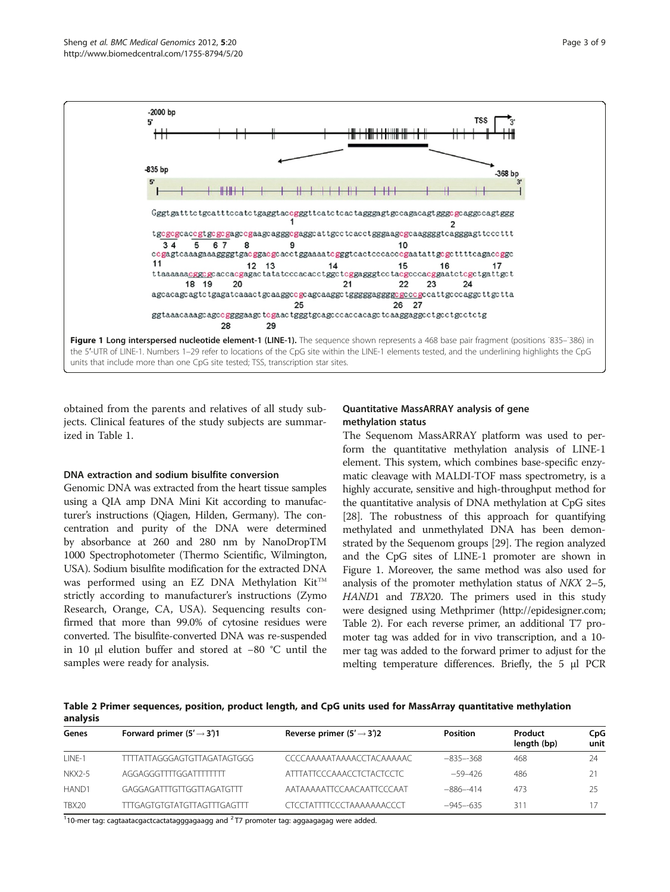

obtained from the parents and relatives of all study subjects. Clinical features of the study subjects are summarized in Table [1.](#page-1-0)

#### DNA extraction and sodium bisulfite conversion

Genomic DNA was extracted from the heart tissue samples using a QIA amp DNA Mini Kit according to manufacturer's instructions (Qiagen, Hilden, Germany). The concentration and purity of the DNA were determined by absorbance at 260 and 280 nm by NanoDropTM 1000 Spectrophotometer (Thermo Scientific, Wilmington, USA). Sodium bisulfite modification for the extracted DNA was performed using an EZ DNA Methylation  $Kit^{TM}$ strictly according to manufacturer's instructions (Zymo Research, Orange, CA, USA). Sequencing results confirmed that more than 99.0% of cytosine residues were converted. The bisulfite-converted DNA was re-suspended in 10 μl elution buffer and stored at −80 °C until the samples were ready for analysis.

# Quantitative MassARRAY analysis of gene methylation status

The Sequenom MassARRAY platform was used to perform the quantitative methylation analysis of LINE-1 element. This system, which combines base-specific enzymatic cleavage with MALDI-TOF mass spectrometry, is a highly accurate, sensitive and high-throughput method for the quantitative analysis of DNA methylation at CpG sites [[28](#page-8-0)]. The robustness of this approach for quantifying methylated and unmethylated DNA has been demonstrated by the Sequenom groups [\[29\]](#page-8-0). The region analyzed and the CpG sites of LINE-1 promoter are shown in Figure 1. Moreover, the same method was also used for analysis of the promoter methylation status of NKX 2–5, HAND1 and TBX20. The primers used in this study were designed using Methprimer (<http://epidesigner.com>; Table 2). For each reverse primer, an additional T7 promoter tag was added for in vivo transcription, and a 10 mer tag was added to the forward primer to adjust for the melting temperature differences. Briefly, the 5 μl PCR

Table 2 Primer sequences, position, product length, and CpG units used for MassArray quantitative methylation analysis

| Genes     | Forward primer $(5' \rightarrow 3')$ 1 | Reverse primer $(5' \rightarrow 3')2$ | <b>Position</b> | Product<br>length (bp) | CpG<br>unit |
|-----------|----------------------------------------|---------------------------------------|-----------------|------------------------|-------------|
| $1$ INF-1 | TTTTATTAGGGAGTGTTAGATAGTGGG            | CCCCAAAAATAAAACCTACAAAAAC             | $-835-368$      | 468                    | 24          |
| NKX2-5    | AGGAGGGTTTGGATTTTTTT                   | ATTTATTCCCAAACCTCTACTCCTC             | $-59-426$       | 486                    |             |
| HAND1     | GAGGAGATTTGTTGGTTAGATGTTT              | AATAAAAATTCCAACAATTCCCAAT             | $-886-414$      | 473                    | 25          |
| TBX20     | TTTGAGTGTGTATGTTAGTTTGAGTTT            | CTCCTATTTTCCCTAAAAAAAACCCT            | $-945 - 635$    | 311                    |             |

 $110$ -mer tag: cagtaatacgactcactatagggagaagg and  $277$  promoter tag: aggaagagag were added.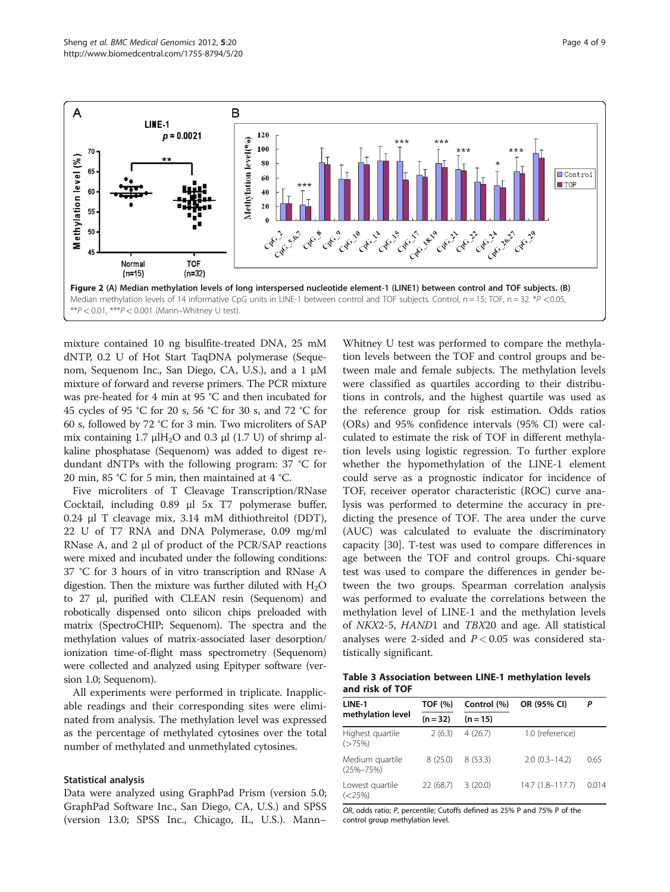<span id="page-3-0"></span>

mixture contained 10 ng bisulfite-treated DNA, 25 mM dNTP, 0.2 U of Hot Start TaqDNA polymerase (Sequenom, Sequenom Inc., San Diego, CA, U.S.), and a 1 μM mixture of forward and reverse primers. The PCR mixture was pre-heated for 4 min at 95 °C and then incubated for 45 cycles of 95 °C for 20 s, 56 °C for 30 s, and 72 °C for 60 s, followed by 72 °C for 3 min. Two microliters of SAP mix containing 1.7  $\mu$ IH<sub>2</sub>O and 0.3  $\mu$ I (1.7 U) of shrimp alkaline phosphatase (Sequenom) was added to digest redundant dNTPs with the following program: 37 °C for 20 min, 85 °C for 5 min, then maintained at 4 °C.

Five microliters of T Cleavage Transcription/RNase Cocktail, including 0.89 μl 5x T7 polymerase buffer, 0.24 μl T cleavage mix, 3.14 mM dithiothreitol (DDT), 22 U of T7 RNA and DNA Polymerase, 0.09 mg/ml RNase A, and 2 μl of product of the PCR/SAP reactions were mixed and incubated under the following conditions: 37 °C for 3 hours of in vitro transcription and RNase A digestion. Then the mixture was further diluted with  $H_2O$ to 27 μl, purified with CLEAN resin (Sequenom) and robotically dispensed onto silicon chips preloaded with matrix (SpectroCHIP; Sequenom). The spectra and the methylation values of matrix-associated laser desorption/ ionization time-of-flight mass spectrometry (Sequenom) were collected and analyzed using Epityper software (version 1.0; Sequenom).

All experiments were performed in triplicate. Inapplicable readings and their corresponding sites were eliminated from analysis. The methylation level was expressed as the percentage of methylated cytosines over the total number of methylated and unmethylated cytosines.

#### Statistical analysis

Data were analyzed using GraphPad Prism (version 5.0; GraphPad Software Inc., San Diego, CA, U.S.) and SPSS (version 13.0; SPSS Inc., Chicago, IL, U.S.). Mann–

Whitney U test was performed to compare the methylation levels between the TOF and control groups and between male and female subjects. The methylation levels were classified as quartiles according to their distributions in controls, and the highest quartile was used as the reference group for risk estimation. Odds ratios (ORs) and 95% confidence intervals (95% CI) were calculated to estimate the risk of TOF in different methylation levels using logistic regression. To further explore whether the hypomethylation of the LINE-1 element could serve as a prognostic indicator for incidence of TOF, receiver operator characteristic (ROC) curve analysis was performed to determine the accuracy in predicting the presence of TOF. The area under the curve (AUC) was calculated to evaluate the discriminatory capacity [\[30](#page-8-0)]. T-test was used to compare differences in age between the TOF and control groups. Chi-square test was used to compare the differences in gender between the two groups. Spearman correlation analysis was performed to evaluate the correlations between the methylation level of LINE-1 and the methylation levels of NKX2-5, HAND1 and TBX20 and age. All statistical analyses were 2-sided and  $P < 0.05$  was considered statistically significant.

Table 3 Association between LINE-1 methylation levels and risk of TOF

| LINE-1                           | TOF (%)    | Control (%) | OR (95% CI)       | Ρ     |  |
|----------------------------------|------------|-------------|-------------------|-------|--|
| methylation level                | $(n = 32)$ | $(n = 15)$  |                   |       |  |
| Highest quartile<br>$($ >75%)    | 2(6.3)     | 4(26.7)     | 1.0 (reference)   |       |  |
| Medium quartile<br>$(25% - 75%)$ | 8(25.0)    | 8(53.3)     | $2.0(0.3 - 14.2)$ | 0.65  |  |
| Lowest quartile<br>$(<$ 25%)     | 22(68.7)   | 3(20.0)     | 14.7 (1.8-117.7)  | 0.014 |  |

OR, odds ratio; P, percentile; Cutoffs defined as 25% P and 75% P of the control group methylation level.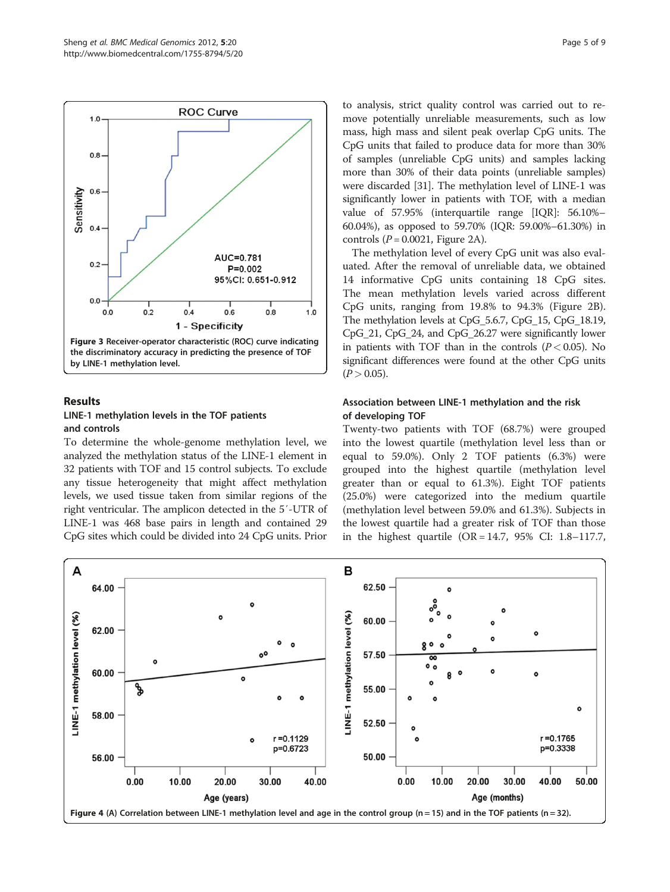<span id="page-4-0"></span>

# Results LINE-1 methylation levels in the TOF patients

#### and controls

To determine the whole-genome methylation level, we analyzed the methylation status of the LINE-1 element in 32 patients with TOF and 15 control subjects. To exclude any tissue heterogeneity that might affect methylation levels, we used tissue taken from similar regions of the right ventricular. The amplicon detected in the 5′-UTR of LINE-1 was 468 base pairs in length and contained 29 CpG sites which could be divided into 24 CpG units. Prior to analysis, strict quality control was carried out to remove potentially unreliable measurements, such as low mass, high mass and silent peak overlap CpG units. The CpG units that failed to produce data for more than 30% of samples (unreliable CpG units) and samples lacking more than 30% of their data points (unreliable samples) were discarded [\[31\]](#page-8-0). The methylation level of LINE-1 was significantly lower in patients with TOF, with a median value of 57.95% (interquartile range [IQR]: 56.10%– 60.04%), as opposed to 59.70% (IQR: 59.00%–61.30%) in controls  $(P = 0.0021$ , Figure [2A\)](#page-3-0).

The methylation level of every CpG unit was also evaluated. After the removal of unreliable data, we obtained 14 informative CpG units containing 18 CpG sites. The mean methylation levels varied across different CpG units, ranging from 19.8% to 94.3% (Figure [2B](#page-3-0)). The methylation levels at CpG\_5.6.7, CpG\_15, CpG\_18.19, CpG\_21, CpG\_24, and CpG\_26.27 were significantly lower in patients with TOF than in the controls  $(P < 0.05)$ . No significant differences were found at the other CpG units  $(P > 0.05)$ .

#### Association between LINE-1 methylation and the risk of developing TOF

Twenty-two patients with TOF (68.7%) were grouped into the lowest quartile (methylation level less than or equal to 59.0%). Only 2 TOF patients (6.3%) were grouped into the highest quartile (methylation level greater than or equal to 61.3%). Eight TOF patients (25.0%) were categorized into the medium quartile (methylation level between 59.0% and 61.3%). Subjects in the lowest quartile had a greater risk of TOF than those in the highest quartile (OR = 14.7, 95% CI: 1.8–117.7,

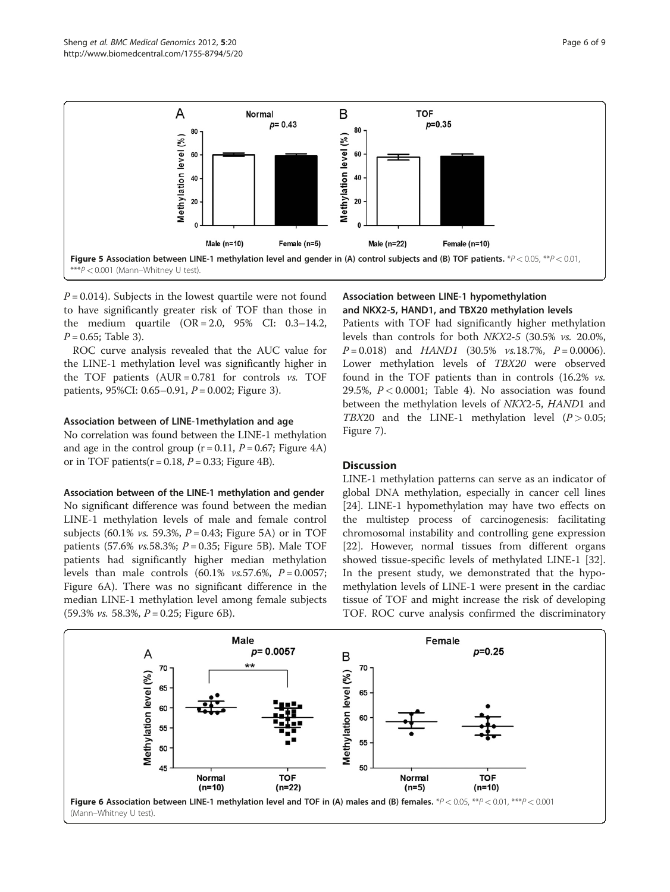

 $P = 0.014$ ). Subjects in the lowest quartile were not found to have significantly greater risk of TOF than those in the medium quartile  $(OR = 2.0, 95\% \text{ CI: } 0.3-14.2,$  $P = 0.65$ ; Table [3\)](#page-3-0).

ROC curve analysis revealed that the AUC value for the LINE-1 methylation level was significantly higher in the TOF patients  $(AUR = 0.781$  for controls  $vs.$  TOF patients, 95%CI: 0.65–0.91,  $P = 0.002$ ; Figure [3\)](#page-4-0).

#### Association between of LINE-1methylation and age

No correlation was found between the LINE-1 methylation and age in the control group  $(r = 0.11, P = 0.67;$  Figure [4A](#page-4-0)) or in TOF patients( $r = 0.18$ ,  $P = 0.33$ ; Figure [4B](#page-4-0)).

#### Association between of the LINE-1 methylation and gender

No significant difference was found between the median LINE-1 methylation levels of male and female control subjects (60.1% *vs.* 59.3%,  $P = 0.43$ ; Figure 5A) or in TOF patients (57.6% *vs.*58.3%;  $P = 0.35$ ; Figure 5B). Male TOF patients had significantly higher median methylation levels than male controls  $(60.1\% \text{ vs. } 57.6\%, P = 0.0057;$ Figure 6A). There was no significant difference in the median LINE-1 methylation level among female subjects  $(59.3\% \text{ vs. } 58.3\%, P = 0.25; \text{ Figure 6B}).$ 

# Association between LINE-1 hypomethylation and NKX2-5, HAND1, and TBX20 methylation levels

Patients with TOF had significantly higher methylation levels than controls for both NKX2-5 (30.5% vs. 20.0%,  $P = 0.018$  and  $HAND1$  (30.5% vs.18.7%,  $P = 0.0006$ ). Lower methylation levels of TBX20 were observed found in the TOF patients than in controls (16.2% vs. 29.5%,  $P < 0.0001$ ; Table [4](#page-6-0)). No association was found between the methylation levels of NKX2-5, HAND1 and TBX20 and the LINE-1 methylation level  $(P > 0.05;$ Figure [7](#page-6-0)).

#### **Discussion**

LINE-1 methylation patterns can serve as an indicator of global DNA methylation, especially in cancer cell lines [[24\]](#page-8-0). LINE-1 hypomethylation may have two effects on the multistep process of carcinogenesis: facilitating chromosomal instability and controlling gene expression [[22\]](#page-8-0). However, normal tissues from different organs showed tissue-specific levels of methylated LINE-1 [[32](#page-8-0)]. In the present study, we demonstrated that the hypomethylation levels of LINE-1 were present in the cardiac tissue of TOF and might increase the risk of developing TOF. ROC curve analysis confirmed the discriminatory

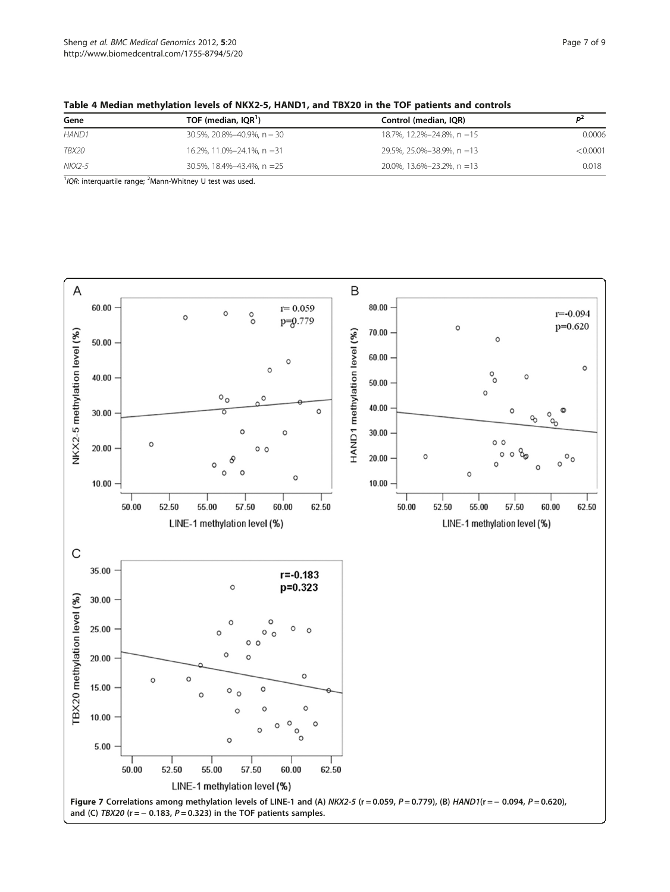| Gene         | TOF (median, IQR <sup>1</sup> ) | Control (median, IQR)      |          |
|--------------|---------------------------------|----------------------------|----------|
| <b>HAND1</b> | 30.5%, 20.8%-40.9%, n = 30      | 18.7%, 12.2%-24.8%, n = 15 | 0.0006   |
| TBX20        | 16.2%, 11.0%-24.1%, n = 31      | 29.5%, 25.0%-38.9%, n =13  | < 0.0001 |
| NKX2-5       | 30.5%, 18.4%-43.4%, n =25       | 20.0%, 13.6%-23.2%, n =13  | 0.018    |
|              |                                 |                            |          |

<span id="page-6-0"></span>

 $1/QR$ : interquartile range;  $2$ Mann-Whitney U test was used.

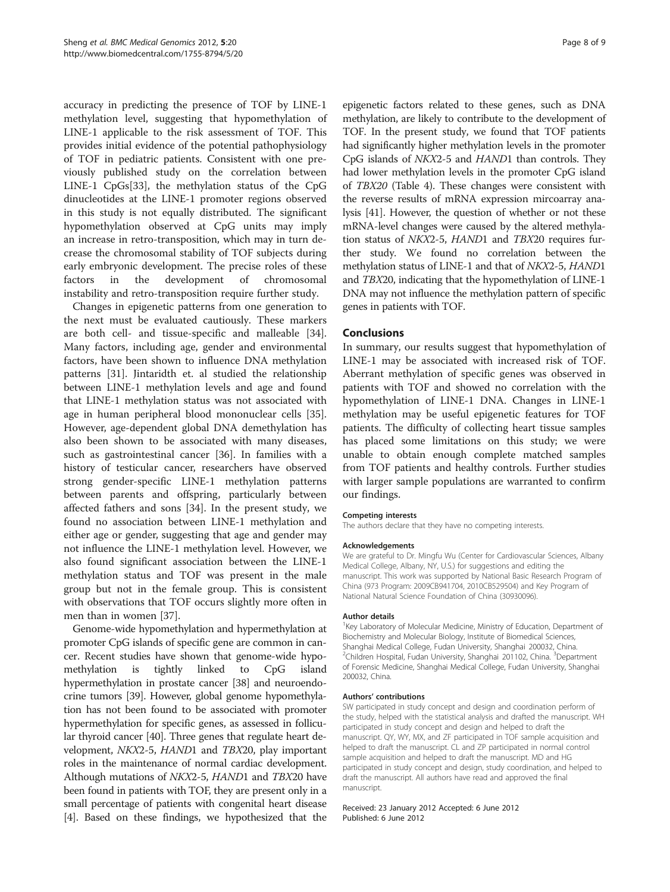accuracy in predicting the presence of TOF by LINE-1 methylation level, suggesting that hypomethylation of LINE-1 applicable to the risk assessment of TOF. This provides initial evidence of the potential pathophysiology of TOF in pediatric patients. Consistent with one previously published study on the correlation between LINE-1 CpGs[\[33\]](#page-8-0), the methylation status of the CpG dinucleotides at the LINE-1 promoter regions observed in this study is not equally distributed. The significant hypomethylation observed at CpG units may imply an increase in retro-transposition, which may in turn decrease the chromosomal stability of TOF subjects during early embryonic development. The precise roles of these factors in the development of chromosomal instability and retro-transposition require further study.

Changes in epigenetic patterns from one generation to the next must be evaluated cautiously. These markers are both cell- and tissue-specific and malleable [\[34](#page-8-0)]. Many factors, including age, gender and environmental factors, have been shown to influence DNA methylation patterns [\[31\]](#page-8-0). Jintaridth et. al studied the relationship between LINE-1 methylation levels and age and found that LINE-1 methylation status was not associated with age in human peripheral blood mononuclear cells [\[35](#page-8-0)]. However, age-dependent global DNA demethylation has also been shown to be associated with many diseases, such as gastrointestinal cancer [\[36](#page-8-0)]. In families with a history of testicular cancer, researchers have observed strong gender-specific LINE-1 methylation patterns between parents and offspring, particularly between affected fathers and sons [\[34](#page-8-0)]. In the present study, we found no association between LINE-1 methylation and either age or gender, suggesting that age and gender may not influence the LINE-1 methylation level. However, we also found significant association between the LINE-1 methylation status and TOF was present in the male group but not in the female group. This is consistent with observations that TOF occurs slightly more often in men than in women [\[37](#page-8-0)].

Genome-wide hypomethylation and hypermethylation at promoter CpG islands of specific gene are common in cancer. Recent studies have shown that genome-wide hypomethylation is tightly linked to CpG island hypermethylation in prostate cancer [[38](#page-8-0)] and neuroendocrine tumors [\[39\]](#page-8-0). However, global genome hypomethylation has not been found to be associated with promoter hypermethylation for specific genes, as assessed in follicular thyroid cancer [\[40](#page-8-0)]. Three genes that regulate heart development, NKX2-5, HAND1 and TBX20, play important roles in the maintenance of normal cardiac development. Although mutations of NKX2-5, HAND1 and TBX20 have been found in patients with TOF, they are present only in a small percentage of patients with congenital heart disease [[4\]](#page-8-0). Based on these findings, we hypothesized that the

epigenetic factors related to these genes, such as DNA methylation, are likely to contribute to the development of TOF. In the present study, we found that TOF patients had significantly higher methylation levels in the promoter CpG islands of NKX2-5 and HAND1 than controls. They had lower methylation levels in the promoter CpG island of TBX20 (Table [4\)](#page-6-0). These changes were consistent with the reverse results of mRNA expression mircoarray analysis [\[41\]](#page-8-0). However, the question of whether or not these mRNA-level changes were caused by the altered methylation status of NKX2-5, HAND1 and TBX20 requires further study. We found no correlation between the methylation status of LINE-1 and that of NKX2-5, HAND1 and TBX20, indicating that the hypomethylation of LINE-1 DNA may not influence the methylation pattern of specific genes in patients with TOF.

#### Conclusions

In summary, our results suggest that hypomethylation of LINE-1 may be associated with increased risk of TOF. Aberrant methylation of specific genes was observed in patients with TOF and showed no correlation with the hypomethylation of LINE-1 DNA. Changes in LINE-1 methylation may be useful epigenetic features for TOF patients. The difficulty of collecting heart tissue samples has placed some limitations on this study; we were unable to obtain enough complete matched samples from TOF patients and healthy controls. Further studies with larger sample populations are warranted to confirm our findings.

#### Competing interests

The authors declare that they have no competing interests.

#### Acknowledgements

We are grateful to Dr. Mingfu Wu (Center for Cardiovascular Sciences, Albany Medical College, Albany, NY, U.S.) for suggestions and editing the manuscript. This work was supported by National Basic Research Program of China (973 Program: 2009CB941704, 2010CB529504) and Key Program of National Natural Science Foundation of China (30930096).

#### Author details

<sup>1</sup>Key Laboratory of Molecular Medicine, Ministry of Education, Department of Biochemistry and Molecular Biology, Institute of Biomedical Sciences, Shanghai Medical College, Fudan University, Shanghai 200032, China. <sup>2</sup>Children Hospital, Fudan University, Shanghai 201102, China. <sup>3</sup>Department of Forensic Medicine, Shanghai Medical College, Fudan University, Shanghai 200032, China.

#### Authors' contributions

SW participated in study concept and design and coordination perform of the study, helped with the statistical analysis and drafted the manuscript. WH participated in study concept and design and helped to draft the manuscript. QY, WY, MX, and ZF participated in TOF sample acquisition and helped to draft the manuscript. CL and ZP participated in normal control sample acquisition and helped to draft the manuscript. MD and HG participated in study concept and design, study coordination, and helped to draft the manuscript. All authors have read and approved the final manuscript.

#### Received: 23 January 2012 Accepted: 6 June 2012 Published: 6 June 2012